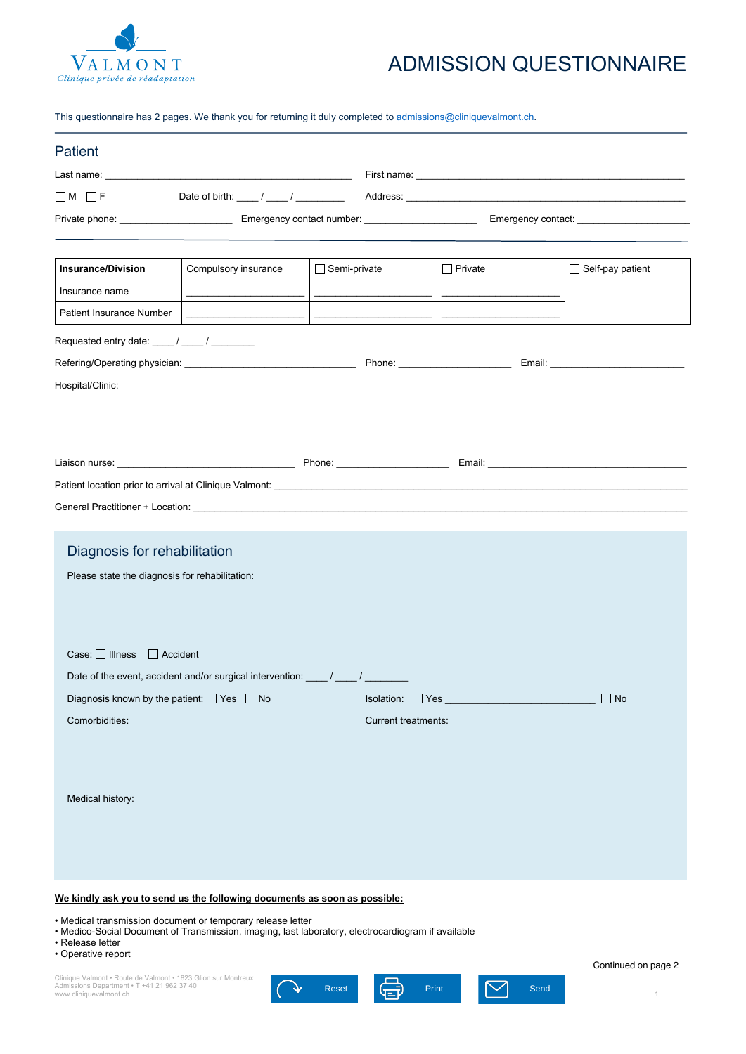Clinique Valmont • Route de Valmont • 1823 Glion sur Montreux Admissions Department • T +41 21 962 37 40

| <b>Patient</b>                                                                                                                                                                                                                                                                                          |                                                                  |                          |                          |                         |  |  |  |  |
|---------------------------------------------------------------------------------------------------------------------------------------------------------------------------------------------------------------------------------------------------------------------------------------------------------|------------------------------------------------------------------|--------------------------|--------------------------|-------------------------|--|--|--|--|
|                                                                                                                                                                                                                                                                                                         |                                                                  |                          |                          |                         |  |  |  |  |
| $\Box$ M $\Box$ F                                                                                                                                                                                                                                                                                       | Date of birth: $\frac{1}{\sqrt{2\pi}}$ / $\frac{1}{\sqrt{2\pi}}$ |                          |                          |                         |  |  |  |  |
|                                                                                                                                                                                                                                                                                                         |                                                                  |                          |                          |                         |  |  |  |  |
|                                                                                                                                                                                                                                                                                                         |                                                                  |                          |                          |                         |  |  |  |  |
| <b>Insurance/Division</b>                                                                                                                                                                                                                                                                               | Compulsory insurance                                             | $\Box$ Semi-private      | $\Box$ Private           | $\Box$ Self-pay patient |  |  |  |  |
| Insurance name                                                                                                                                                                                                                                                                                          |                                                                  |                          |                          |                         |  |  |  |  |
| <b>Patient Insurance Number</b>                                                                                                                                                                                                                                                                         |                                                                  | $\overline{\phantom{a}}$ | $\overline{\phantom{a}}$ |                         |  |  |  |  |
| Requested entry date: ____ / ____ / _________                                                                                                                                                                                                                                                           |                                                                  |                          |                          |                         |  |  |  |  |
| Phone: <u>with the set of the set of the set of the set of the set of the set of the set of the set of the set of the set of the set of the set of the set of the set of the set of the set of the set of the set of the set of </u>                                                                    |                                                                  |                          |                          |                         |  |  |  |  |
| Hospital/Clinic:                                                                                                                                                                                                                                                                                        |                                                                  |                          |                          |                         |  |  |  |  |
|                                                                                                                                                                                                                                                                                                         |                                                                  |                          |                          |                         |  |  |  |  |
|                                                                                                                                                                                                                                                                                                         |                                                                  |                          |                          |                         |  |  |  |  |
|                                                                                                                                                                                                                                                                                                         |                                                                  |                          |                          |                         |  |  |  |  |
|                                                                                                                                                                                                                                                                                                         |                                                                  |                          |                          |                         |  |  |  |  |
|                                                                                                                                                                                                                                                                                                         |                                                                  |                          |                          |                         |  |  |  |  |
|                                                                                                                                                                                                                                                                                                         |                                                                  |                          |                          |                         |  |  |  |  |
|                                                                                                                                                                                                                                                                                                         |                                                                  |                          |                          |                         |  |  |  |  |
| Diagnosis for rehabilitation                                                                                                                                                                                                                                                                            |                                                                  |                          |                          |                         |  |  |  |  |
| Please state the diagnosis for rehabilitation:                                                                                                                                                                                                                                                          |                                                                  |                          |                          |                         |  |  |  |  |
|                                                                                                                                                                                                                                                                                                         |                                                                  |                          |                          |                         |  |  |  |  |
|                                                                                                                                                                                                                                                                                                         |                                                                  |                          |                          |                         |  |  |  |  |
| Case: Illness<br>$\Box$ Accident                                                                                                                                                                                                                                                                        |                                                                  |                          |                          |                         |  |  |  |  |
| Date of the event, accident and/or surgical intervention: _____ / _____ / ______                                                                                                                                                                                                                        |                                                                  |                          |                          |                         |  |  |  |  |
| Diagnosis known by the patient: $\Box$ Yes $\Box$ No<br><b>Isolation:</b> ■ Yes ■ The Contract Decision of The Contract Decision of The Contract Of The Contract Of The Contract Of The Contract Of The Contract Of The Contract Of The Contract Of The Contract Of The Contract Of The Co<br>$\Box$ No |                                                                  |                          |                          |                         |  |  |  |  |
| Comorbidities:<br><b>Current treatments:</b>                                                                                                                                                                                                                                                            |                                                                  |                          |                          |                         |  |  |  |  |
|                                                                                                                                                                                                                                                                                                         |                                                                  |                          |                          |                         |  |  |  |  |



Medical history:

## **We kindly ask you to send us the following documents as soon as possible:**

- Medical transmission document or temporary release letter
- Medico-Social Document of Transmission, imaging, last laboratory, electrocardiogram if available
- Release letter
- Operative report

Continued on page 2



## ADMISSION QUESTIONNAIRE

This questionnaire has 2 pages. We thank you for returning it duly completed to admissions@cliniquevalmont.ch.